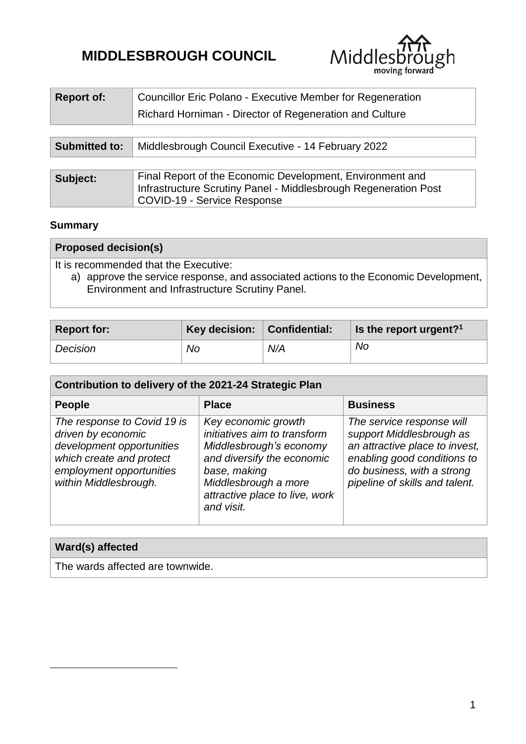# **MIDDLESBROUGH COUNCIL**



| <b>Report of:</b>    | Councillor Eric Polano - Executive Member for Regeneration<br>Richard Horniman - Director of Regeneration and Culture                                              |
|----------------------|--------------------------------------------------------------------------------------------------------------------------------------------------------------------|
| <b>Submitted to:</b> | Middlesbrough Council Executive - 14 February 2022                                                                                                                 |
| Subject:             | Final Report of the Economic Development, Environment and<br>Infrastructure Scrutiny Panel - Middlesbrough Regeneration Post<br><b>COVID-19 - Service Response</b> |

## **Summary**

1

| <b>Proposed decision(s)</b>                                                                                                                                                       |  |  |  |  |
|-----------------------------------------------------------------------------------------------------------------------------------------------------------------------------------|--|--|--|--|
| It is recommended that the Executive:<br>a) approve the service response, and associated actions to the Economic Development,  <br>Environment and Infrastructure Scrutiny Panel. |  |  |  |  |

| <b>Report for:</b> | Key decision:   Confidential: |     | <b>Is the report urgent?</b> $\frac{1}{2}$ |
|--------------------|-------------------------------|-----|--------------------------------------------|
| Decision           | No                            | N/A | No                                         |

| Contribution to delivery of the 2021-24 Strategic Plan                                                                                                          |                                                                                                                                                                                                      |                                                                                                                                                                                        |  |  |  |  |
|-----------------------------------------------------------------------------------------------------------------------------------------------------------------|------------------------------------------------------------------------------------------------------------------------------------------------------------------------------------------------------|----------------------------------------------------------------------------------------------------------------------------------------------------------------------------------------|--|--|--|--|
| <b>People</b>                                                                                                                                                   | <b>Place</b>                                                                                                                                                                                         | <b>Business</b>                                                                                                                                                                        |  |  |  |  |
| The response to Covid 19 is<br>driven by economic<br>development opportunities<br>which create and protect<br>employment opportunities<br>within Middlesbrough. | Key economic growth<br>initiatives aim to transform<br>Middlesbrough's economy<br>and diversify the economic<br>base, making<br>Middlesbrough a more<br>attractive place to live, work<br>and visit. | The service response will<br>support Middlesbrough as<br>an attractive place to invest,<br>enabling good conditions to<br>do business, with a strong<br>pipeline of skills and talent. |  |  |  |  |

| Ward(s) affected                 |  |
|----------------------------------|--|
| The wards affected are townwide. |  |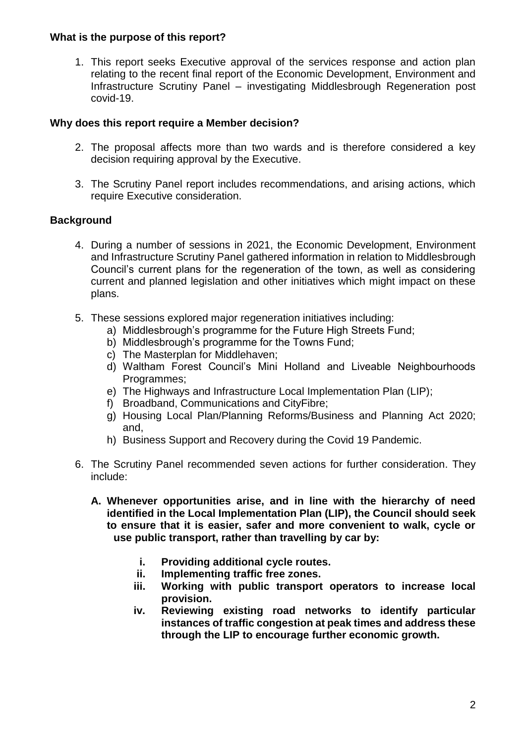#### **What is the purpose of this report?**

1. This report seeks Executive approval of the services response and action plan relating to the recent final report of the Economic Development, Environment and Infrastructure Scrutiny Panel – investigating Middlesbrough Regeneration post covid-19.

## **Why does this report require a Member decision?**

- 2. The proposal affects more than two wards and is therefore considered a key decision requiring approval by the Executive.
- 3. The Scrutiny Panel report includes recommendations, and arising actions, which require Executive consideration.

## **Background**

- 4. During a number of sessions in 2021, the Economic Development, Environment and Infrastructure Scrutiny Panel gathered information in relation to Middlesbrough Council's current plans for the regeneration of the town, as well as considering current and planned legislation and other initiatives which might impact on these plans.
- 5. These sessions explored major regeneration initiatives including:
	- a) Middlesbrough's programme for the Future High Streets Fund;
	- b) Middlesbrough's programme for the Towns Fund;
	- c) The Masterplan for Middlehaven;
	- d) Waltham Forest Council's Mini Holland and Liveable Neighbourhoods Programmes;
	- e) The Highways and Infrastructure Local Implementation Plan (LIP);
	- f) Broadband, Communications and CityFibre;
	- g) Housing Local Plan/Planning Reforms/Business and Planning Act 2020; and,
	- h) Business Support and Recovery during the Covid 19 Pandemic.
- 6. The Scrutiny Panel recommended seven actions for further consideration. They include:
	- **A. Whenever opportunities arise, and in line with the hierarchy of need identified in the Local Implementation Plan (LIP), the Council should seek to ensure that it is easier, safer and more convenient to walk, cycle or use public transport, rather than travelling by car by:**
		- **i. Providing additional cycle routes.**
		- **ii. Implementing traffic free zones.**
		- **iii. Working with public transport operators to increase local provision.**
		- **iv. Reviewing existing road networks to identify particular instances of traffic congestion at peak times and address these through the LIP to encourage further economic growth.**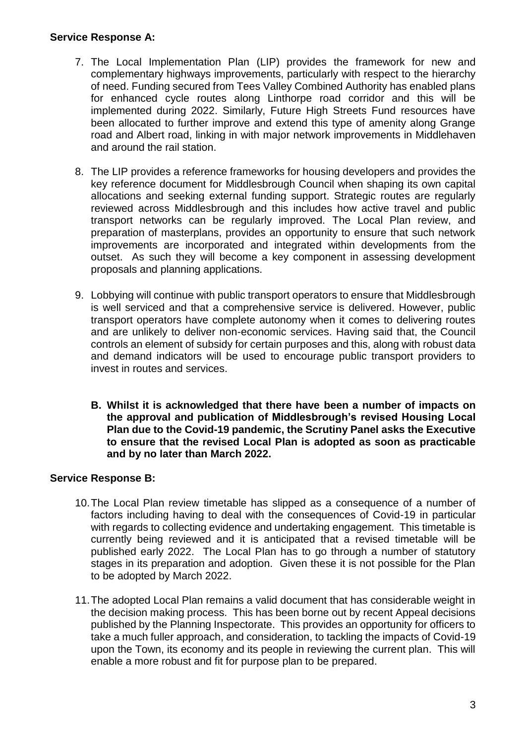## **Service Response A:**

- 7. The Local Implementation Plan (LIP) provides the framework for new and complementary highways improvements, particularly with respect to the hierarchy of need. Funding secured from Tees Valley Combined Authority has enabled plans for enhanced cycle routes along Linthorpe road corridor and this will be implemented during 2022. Similarly, Future High Streets Fund resources have been allocated to further improve and extend this type of amenity along Grange road and Albert road, linking in with major network improvements in Middlehaven and around the rail station.
- 8. The LIP provides a reference frameworks for housing developers and provides the key reference document for Middlesbrough Council when shaping its own capital allocations and seeking external funding support. Strategic routes are regularly reviewed across Middlesbrough and this includes how active travel and public transport networks can be regularly improved. The Local Plan review, and preparation of masterplans, provides an opportunity to ensure that such network improvements are incorporated and integrated within developments from the outset. As such they will become a key component in assessing development proposals and planning applications.
- 9. Lobbying will continue with public transport operators to ensure that Middlesbrough is well serviced and that a comprehensive service is delivered. However, public transport operators have complete autonomy when it comes to delivering routes and are unlikely to deliver non-economic services. Having said that, the Council controls an element of subsidy for certain purposes and this, along with robust data and demand indicators will be used to encourage public transport providers to invest in routes and services.
	- **B. Whilst it is acknowledged that there have been a number of impacts on the approval and publication of Middlesbrough's revised Housing Local Plan due to the Covid-19 pandemic, the Scrutiny Panel asks the Executive to ensure that the revised Local Plan is adopted as soon as practicable and by no later than March 2022.**

## **Service Response B:**

- 10.The Local Plan review timetable has slipped as a consequence of a number of factors including having to deal with the consequences of Covid-19 in particular with regards to collecting evidence and undertaking engagement. This timetable is currently being reviewed and it is anticipated that a revised timetable will be published early 2022. The Local Plan has to go through a number of statutory stages in its preparation and adoption. Given these it is not possible for the Plan to be adopted by March 2022.
- 11.The adopted Local Plan remains a valid document that has considerable weight in the decision making process. This has been borne out by recent Appeal decisions published by the Planning Inspectorate. This provides an opportunity for officers to take a much fuller approach, and consideration, to tackling the impacts of Covid-19 upon the Town, its economy and its people in reviewing the current plan. This will enable a more robust and fit for purpose plan to be prepared.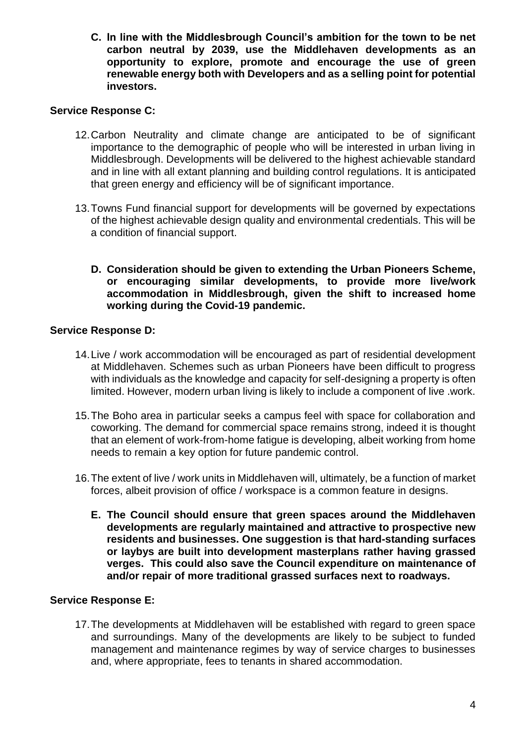**C. In line with the Middlesbrough Council's ambition for the town to be net carbon neutral by 2039, use the Middlehaven developments as an opportunity to explore, promote and encourage the use of green renewable energy both with Developers and as a selling point for potential investors.**

## **Service Response C:**

- 12.Carbon Neutrality and climate change are anticipated to be of significant importance to the demographic of people who will be interested in urban living in Middlesbrough. Developments will be delivered to the highest achievable standard and in line with all extant planning and building control regulations. It is anticipated that green energy and efficiency will be of significant importance.
- 13.Towns Fund financial support for developments will be governed by expectations of the highest achievable design quality and environmental credentials. This will be a condition of financial support.
	- **D. Consideration should be given to extending the Urban Pioneers Scheme, or encouraging similar developments, to provide more live/work accommodation in Middlesbrough, given the shift to increased home working during the Covid-19 pandemic.**

## **Service Response D:**

- 14.Live / work accommodation will be encouraged as part of residential development at Middlehaven. Schemes such as urban Pioneers have been difficult to progress with individuals as the knowledge and capacity for self-designing a property is often limited. However, modern urban living is likely to include a component of live .work.
- 15.The Boho area in particular seeks a campus feel with space for collaboration and coworking. The demand for commercial space remains strong, indeed it is thought that an element of work-from-home fatigue is developing, albeit working from home needs to remain a key option for future pandemic control.
- 16.The extent of live / work units in Middlehaven will, ultimately, be a function of market forces, albeit provision of office / workspace is a common feature in designs.
	- **E. The Council should ensure that green spaces around the Middlehaven developments are regularly maintained and attractive to prospective new residents and businesses. One suggestion is that hard-standing surfaces or laybys are built into development masterplans rather having grassed verges. This could also save the Council expenditure on maintenance of and/or repair of more traditional grassed surfaces next to roadways.**

#### **Service Response E:**

17.The developments at Middlehaven will be established with regard to green space and surroundings. Many of the developments are likely to be subject to funded management and maintenance regimes by way of service charges to businesses and, where appropriate, fees to tenants in shared accommodation.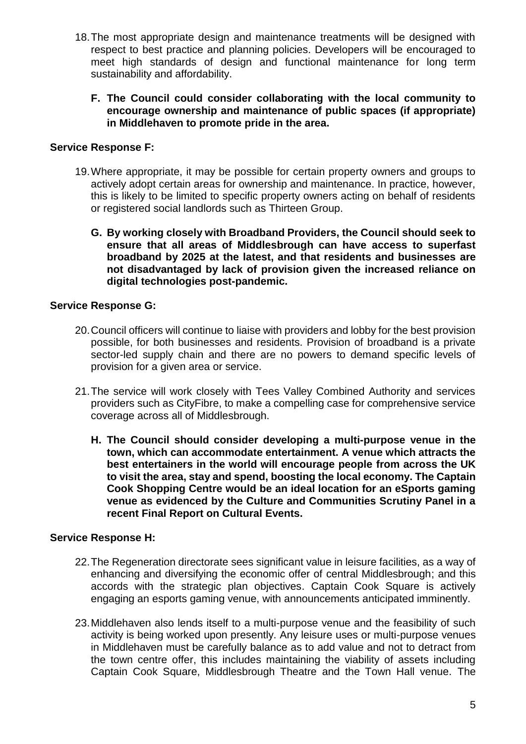- 18.The most appropriate design and maintenance treatments will be designed with respect to best practice and planning policies. Developers will be encouraged to meet high standards of design and functional maintenance for long term sustainability and affordability.
	- **F. The Council could consider collaborating with the local community to encourage ownership and maintenance of public spaces (if appropriate) in Middlehaven to promote pride in the area.**

#### **Service Response F:**

- 19.Where appropriate, it may be possible for certain property owners and groups to actively adopt certain areas for ownership and maintenance. In practice, however, this is likely to be limited to specific property owners acting on behalf of residents or registered social landlords such as Thirteen Group.
	- **G. By working closely with Broadband Providers, the Council should seek to ensure that all areas of Middlesbrough can have access to superfast broadband by 2025 at the latest, and that residents and businesses are not disadvantaged by lack of provision given the increased reliance on digital technologies post-pandemic.**

## **Service Response G:**

- 20.Council officers will continue to liaise with providers and lobby for the best provision possible, for both businesses and residents. Provision of broadband is a private sector-led supply chain and there are no powers to demand specific levels of provision for a given area or service.
- 21.The service will work closely with Tees Valley Combined Authority and services providers such as CityFibre, to make a compelling case for comprehensive service coverage across all of Middlesbrough.
	- **H. The Council should consider developing a multi-purpose venue in the town, which can accommodate entertainment. A venue which attracts the best entertainers in the world will encourage people from across the UK to visit the area, stay and spend, boosting the local economy. The Captain Cook Shopping Centre would be an ideal location for an eSports gaming venue as evidenced by the Culture and Communities Scrutiny Panel in a recent Final Report on Cultural Events.**

## **Service Response H:**

- 22.The Regeneration directorate sees significant value in leisure facilities, as a way of enhancing and diversifying the economic offer of central Middlesbrough; and this accords with the strategic plan objectives. Captain Cook Square is actively engaging an esports gaming venue, with announcements anticipated imminently.
- 23.Middlehaven also lends itself to a multi-purpose venue and the feasibility of such activity is being worked upon presently. Any leisure uses or multi-purpose venues in Middlehaven must be carefully balance as to add value and not to detract from the town centre offer, this includes maintaining the viability of assets including Captain Cook Square, Middlesbrough Theatre and the Town Hall venue. The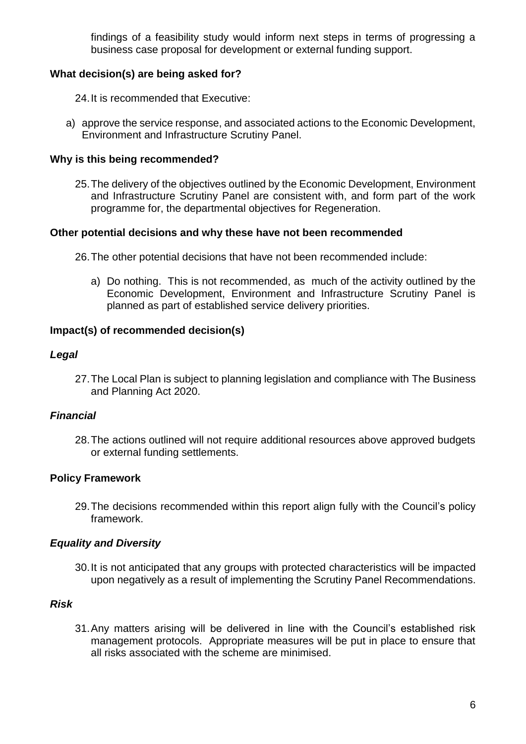findings of a feasibility study would inform next steps in terms of progressing a business case proposal for development or external funding support.

## **What decision(s) are being asked for?**

24.It is recommended that Executive:

a) approve the service response, and associated actions to the Economic Development, Environment and Infrastructure Scrutiny Panel.

#### **Why is this being recommended?**

25.The delivery of the objectives outlined by the Economic Development, Environment and Infrastructure Scrutiny Panel are consistent with, and form part of the work programme for, the departmental objectives for Regeneration.

#### **Other potential decisions and why these have not been recommended**

26.The other potential decisions that have not been recommended include:

a) Do nothing. This is not recommended, as much of the activity outlined by the Economic Development, Environment and Infrastructure Scrutiny Panel is planned as part of established service delivery priorities.

#### **Impact(s) of recommended decision(s)**

#### *Legal*

27.The Local Plan is subject to planning legislation and compliance with The Business and Planning Act 2020.

#### *Financial*

28.The actions outlined will not require additional resources above approved budgets or external funding settlements.

#### **Policy Framework**

29.The decisions recommended within this report align fully with the Council's policy framework.

#### *Equality and Diversity*

30.It is not anticipated that any groups with protected characteristics will be impacted upon negatively as a result of implementing the Scrutiny Panel Recommendations.

#### *Risk*

31.Any matters arising will be delivered in line with the Council's established risk management protocols. Appropriate measures will be put in place to ensure that all risks associated with the scheme are minimised.